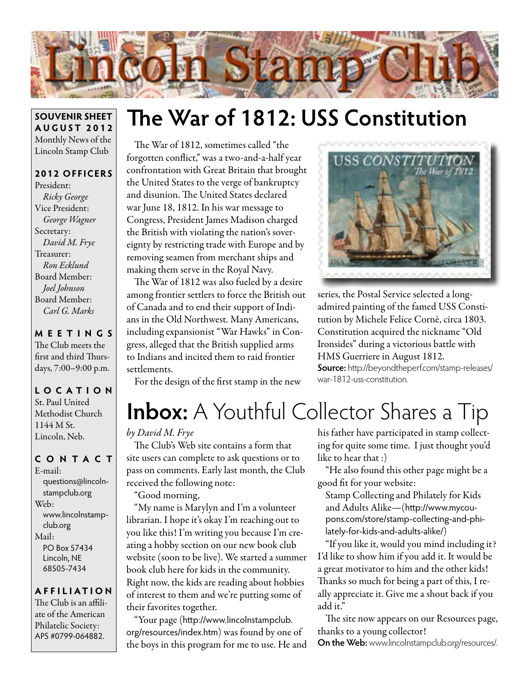

#### **SOUVENIR SHEET AUGUST 2012** Monthly News of the Lincoln Stamp Club

#### **2012 OFFICERS**

President: *Ricky George* Vice President: *George Wagner* Secretary: *David M. Frye* Treasurer: *Ron Ecklund* Board Member: *Joel Johnson* Board Member: *Carl G. Marks*

#### **MEETINGS** The Club meets the first and third Thursdays, 7:00–9:00 p.m.

**LO C ATI O N** St. Paul United Methodist Church 1144 M St. Lincoln, Neb.

#### **CONTACT**

E-mail: questions@lincolnstampclub.org Web: www.lincolnstampclub.org Mail: PO Box 57434 Lincoln, NE 68505-7434

#### **AFFI LIATI O N**

The Club is an affiliate of the American Philatelic Society: APS #0799-064882.

# **The War of 1812: USS Constitution**

The War of 1812, sometimes called "the forgotten conflict," was a two-and-a-half year confrontation with Great Britain that brought the United States to the verge of bankruptcy and disunion. The United States declared war June 18, 1812. In his war message to Congress, President James Madison charged the British with violating the nation's sovereignty by restricting trade with Europe and by removing seamen from merchant ships and making them serve in the Royal Navy.

The War of 1812 was also fueled by a desire among frontier settlers to force the British out of Canada and to end their support of Indians in the Old Northwest. Many Americans, including expansionist "War Hawks" in Congress, alleged that the British supplied arms to Indians and incited them to raid frontier settlements.

For the design of the first stamp in the new



series, the Postal Service selected a longadmired painting of the famed USS Constitution by Michele Felice Cornè, circa 1803. Constitution acquired the nickname "Old Ironsides" during a victorious battle with HMS Guerriere in August 1812. **Source:** http://beyondtheperf.com/stamp-releases/ war-1812-uss-constitution.

# **Inbox:** A Youthful Collector Shares a Tip

#### *by David M. Frye*

The Club's Web site contains a form that site users can complete to ask questions or to pass on comments. Early last month, the Club received the following note:

"Good morning,

"My name is Marylyn and I'm a volunteer librarian. I hope it's okay I'm reaching out to you like this! I'm writing you because I'm creating a hobby section on our new book club website (soon to be live). We started a summer book club here for kids in the community. Right now, the kids are reading about hobbies of interest to them and we're putting some of their favorites together.

"Your page (http://www.lincolnstampclub. org/resources/index.htm) was found by one of the boys in this program for me to use. He and his father have participated in stamp collecting for quite some time. I just thought you'd like to hear that :)

"He also found this other page might be a good fit for your website:

Stamp Collecting and Philately for Kids and Adults Alike—(http://www.mycoupons.com/store/stamp-collecting-and-philately-for-kids-and-adults-alike/)

"If you like it, would you mind including it? I'd like to show him if you add it. It would be a great motivator to him and the other kids! Thanks so much for being a part of this, I really appreciate it. Give me a shout back if you add it."

The site now appears on our Resources page, thanks to a young collector! **On the Web:** www.lincolnstampclub.org/resources/.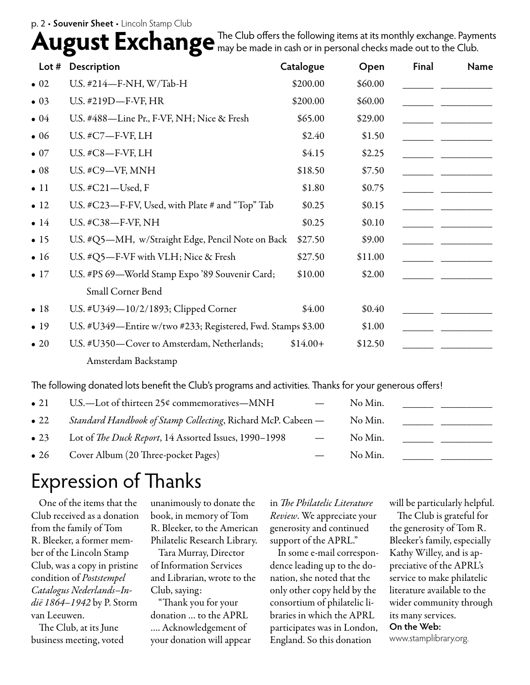#### p. 2 • **Souvenir Sheet** • Lincoln Stamp Club

August Exchange The Club offers the following items at its monthly exchange. Paym The Club offers the following items at its monthly exchange. Payments

| Lot $#$      | Description                                                  | Catalogue | Open    | <b>Final</b> | <b>Name</b> |
|--------------|--------------------------------------------------------------|-----------|---------|--------------|-------------|
| $\bullet$ 02 | U.S. #214-F-NH, W/Tab-H                                      | \$200.00  | \$60.00 |              |             |
| $\bullet$ 03 | U.S. #219D-F-VF, HR                                          | \$200.00  | \$60.00 |              |             |
| $\bullet$ 04 | U.S. #488—Line Pr., F-VF, NH; Nice & Fresh                   | \$65.00   | \$29.00 |              |             |
| $\bullet$ 06 | U.S. #C7-F-VF, LH                                            | \$2.40    | \$1.50  |              |             |
| $\bullet$ 07 | U.S. $\#C8$ -F-VF, LH                                        | \$4.15    | \$2.25  |              |             |
| $\bullet$ 08 | U.S. #C9-VF, MNH                                             | \$18.50   | \$7.50  |              |             |
| $\bullet$ 11 | U.S. $\#C21$ —Used, F                                        | \$1.80    | \$0.75  |              |             |
| $\bullet$ 12 | U.S. #C23—F-FV, Used, with Plate # and "Top" Tab             | \$0.25    | \$0.15  |              |             |
| $\bullet$ 14 | U.S. #C38-F-VF, NH                                           | \$0.25    | \$0.10  |              |             |
| $\bullet$ 15 | U.S. #Q5-MH, w/Straight Edge, Pencil Note on Back            | \$27.50   | \$9.00  |              |             |
| $\bullet$ 16 | U.S. #Q5-F-VF with VLH; Nice & Fresh                         | \$27.50   | \$11.00 |              |             |
| $\bullet$ 17 | U.S. #PS 69-World Stamp Expo '89 Souvenir Card;              | \$10.00   | \$2.00  |              |             |
|              | Small Corner Bend                                            |           |         |              |             |
| $\bullet$ 18 | U.S. #U349-10/2/1893; Clipped Corner                         | \$4.00    | \$0.40  |              |             |
| $\bullet$ 19 | U.S. #U349-Entire w/two #233; Registered, Fwd. Stamps \$3.00 |           | \$1.00  |              |             |
| $\bullet$ 20 | U.S. #U350-Cover to Amsterdam, Netherlands;                  | $$14.00+$ | \$12.50 |              |             |
|              | Amsterdam Backstamp                                          |           |         |              |             |

The following donated lots benefit the Club's programs and activities. Thanks for your generous offers!

| $\bullet$ 21 | U.S.—Lot of thirteen $25¢$ commemoratives—MNH                 |                          | No Min. |  |
|--------------|---------------------------------------------------------------|--------------------------|---------|--|
| $\bullet$ 22 | Standard Handbook of Stamp Collecting, Richard McP. Cabeen -  |                          | No Min. |  |
| $\bullet$ 23 | Lot of <i>The Duck Report</i> , 14 Assorted Issues, 1990–1998 | $\overline{\phantom{m}}$ | No Min. |  |
| $\bullet$ 26 | Cover Album (20 Three-pocket Pages)                           |                          | No Min. |  |

## Expression of Thanks

One of the items that the Club received as a donation from the family of Tom R. Bleeker, a former member of the Lincoln Stamp Club, was a copy in pristine condition of *Poststempel Catalogus Nederlands–Indië 1864–1942* by P. Storm van Leeuwen.

The Club, at its June business meeting, voted

unanimously to donate the book, in memory of Tom R. Bleeker, to the American Philatelic Research Library.

Tara Murray, Director of Information Services and Librarian, wrote to the Club, saying:

"Thank you for your donation … to the APRL …. Acknowledgement of your donation will appear in *The Philatelic Literature Review*. We appreciate your generosity and continued support of the APRL."

In some e-mail correspondence leading up to the donation, she noted that the only other copy held by the consortium of philatelic libraries in which the APRL participates was in London, England. So this donation

will be particularly helpful.

The Club is grateful for the generosity of Tom R. Bleeker's family, especially Kathy Willey, and is appreciative of the APRL's service to make philatelic literature available to the wider community through its many services. **On the Web:** www.stamplibrary.org.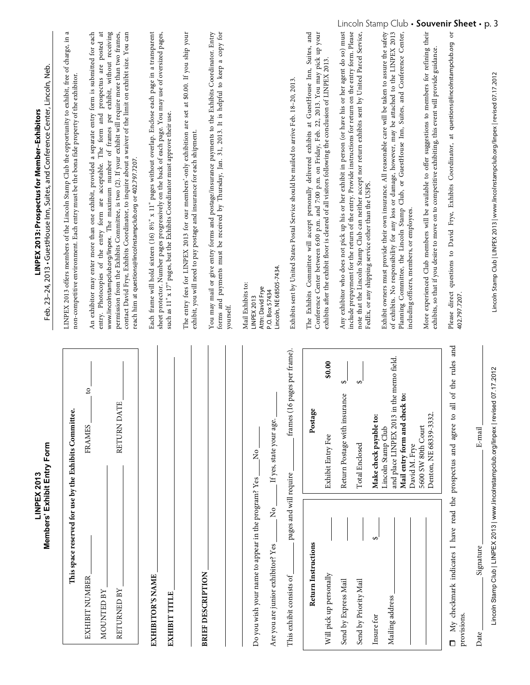|                                                                                                           | Members' Exhibit Entry Form<br>LINPEX 2013                                                                                                    | Feb. 23-24, 2013 • GuestHouse Inn, Suites, and Conference Center, Lincoln, Neb.<br>LINPEX 2013: Prospectus for Member-Exhibitors                                                                                                                                                                                                                                                                                                                                                                                                                                                           |
|-----------------------------------------------------------------------------------------------------------|-----------------------------------------------------------------------------------------------------------------------------------------------|--------------------------------------------------------------------------------------------------------------------------------------------------------------------------------------------------------------------------------------------------------------------------------------------------------------------------------------------------------------------------------------------------------------------------------------------------------------------------------------------------------------------------------------------------------------------------------------------|
|                                                                                                           | This space reserved for use by the Exhibits Committee.                                                                                        | a<br>LINPEX 2013 offers members of the Lincoln Stamp Club the opportunity to exhibit, free of charge, in<br>non-competitive environment. Each entry must be the bona fide property of the exhibitor.                                                                                                                                                                                                                                                                                                                                                                                       |
| EXHIBIT NUMBER<br>RETURNED BY<br>MOUNTED BY                                                               | $\overline{c}$<br>Ë<br>RETURN DA<br>FRAMES                                                                                                    | prospectus are posted at<br>www.lincolnstampclub.org/linpex. The maximum number of frames per exhibit, without receiving<br>An exhibitor may enter more than one exhibit, provided a separate entry form is submitted for each<br>permission from the Exhibits Committee, is two (2). If your exhibit will require more than two frames,<br>contact David Frye, Exhibits Coordinator, to inquire about a waiver of the limit on exhibit size. You can<br>entry. Photocopies of the entry form are acceptable. The form and<br>reach him at questions@lincolnstampclub.org or 402.797.7207. |
| EXHIBITOR'S NAME<br><b>EXHIBIT TITLE</b>                                                                  |                                                                                                                                               | Each frame will hold sixteen (16) 8½" x 11" pages without overlap. Enclose each page in a transparent<br>sheet protector. Number pages progressively on the back of each page. You may use of oversized pages,<br>such as 11" x 17" pages, but the Exhibits Coordinator must approve their use.                                                                                                                                                                                                                                                                                            |
| <b>BRIEF DESCRIPTION</b>                                                                                  |                                                                                                                                               | forms and payments must be received by Thursday, Jan. 31, 2013. It is helpful to keep a copy for<br>You may mail or give entry forms and postage/insurance payments to the Exhibits Coordinator. Entry<br>The entry fees for LINPEX 2013 for our members'-only exhibition are set at \$0.00. If you ship your<br>exhibit, you will need to pay postage and insurance for each shipment.<br>yourself.                                                                                                                                                                                       |
| Do you wish your name to appear in the program? Yes<br>$\frac{1}{2}$<br>Are you are junior exhibitor? Yes | If yes, state your age.<br>ž                                                                                                                  | Lincoln, NE 68505-7434.<br>Mail Exhibits to:<br>Attn: David Frye<br>P.O. Box 57434<br>LINPEX 2013                                                                                                                                                                                                                                                                                                                                                                                                                                                                                          |
| pages and will require<br>This exhibit consists of                                                        | frames (16 pages per frame).                                                                                                                  | Exhibits sent by United States Postal Service should be mailed to arrive Feb. 18-20, 2013.                                                                                                                                                                                                                                                                                                                                                                                                                                                                                                 |
| Return Instructions<br>Will pick up personally                                                            | \$0.00<br>$\bullet$<br>Postage<br>Exhibit Entry Fee                                                                                           | The Exhibits Committee will accept personally delivered exhibits at GuestHouse Inn, Suites, and<br>your<br>Conference Center between 6:00 p.m. and 7:00 p.m. on Friday, Feb. 22, 2013. You may pick up<br>exhibits after the exhibit floor is cleared of all visitors following the conclusion of LINPEX 2013.                                                                                                                                                                                                                                                                             |
| ↔<br>Send by Express Mail<br>Send by Priority Mail<br>Insure for                                          | $\Theta$<br>↮<br>Return Postage with insurance<br>Total Enclosed                                                                              | LINCOIN<br>Any exhibitor who does not pick up his or her exhibit in person (or have his or her agent do so) must<br>include prepayment for the return of the entry. Provide instructions for return on the entry form. Please<br>note that the Lincoln Stamp Club can neither accept nor return exhibits sent by United Parcel Service,<br>FedEx, or any shipping service other than the USPS.                                                                                                                                                                                             |
| Mailing address                                                                                           | in the memo field.<br>Mail entry form and check to:<br>Make check payable to:<br>and place LINPEX 2013<br>Lincoln Stamp Club<br>David M. Frye | Stamp<br>CIUD<br>Exhibit owners must provide their own insurance. All reasonable care will be taken to assure the safety<br>of exhibits. No responsibility for any loss or damage, however, may be attached to the LINPEX 2013<br>Planning Committee, the Lincoln Stamp Club, or GuestHouse Inn, Suites, and Conference Center,<br>including officers, members, or employees.                                                                                                                                                                                                              |
|                                                                                                           | Denton, NE 68339-3332.<br>5600 SW 80th Court                                                                                                  | More experienced Club members will be available to offer suggestions to members for refining their<br>exhibits, so that if you desire to move on to competitive exhibiting, this event will provide guidance.                                                                                                                                                                                                                                                                                                                                                                              |
| My checkmark indicates I have read the prospectus and agree<br>Signature<br>provisions.<br>Date<br>$\Box$ | the rules and<br>JO<br>$\overline{a}$<br>$\mathbf{c}$<br>E-mail                                                                               | souvenir sneet<br>Please direct questions to David Frye, Exhibits Coordinator, at questions@lincolnstampclub.org or<br>402.797.7207.                                                                                                                                                                                                                                                                                                                                                                                                                                                       |
|                                                                                                           |                                                                                                                                               |                                                                                                                                                                                                                                                                                                                                                                                                                                                                                                                                                                                            |

Lincoln Stamp Club | LINPEX 2013 | www.lincolnstampclub.org/linpex | revised 07.17.2012 Lincoln Stamp Club | LINPEX 2013 | www.lincolnstampclub.org/linpex | revised 07.17.2012